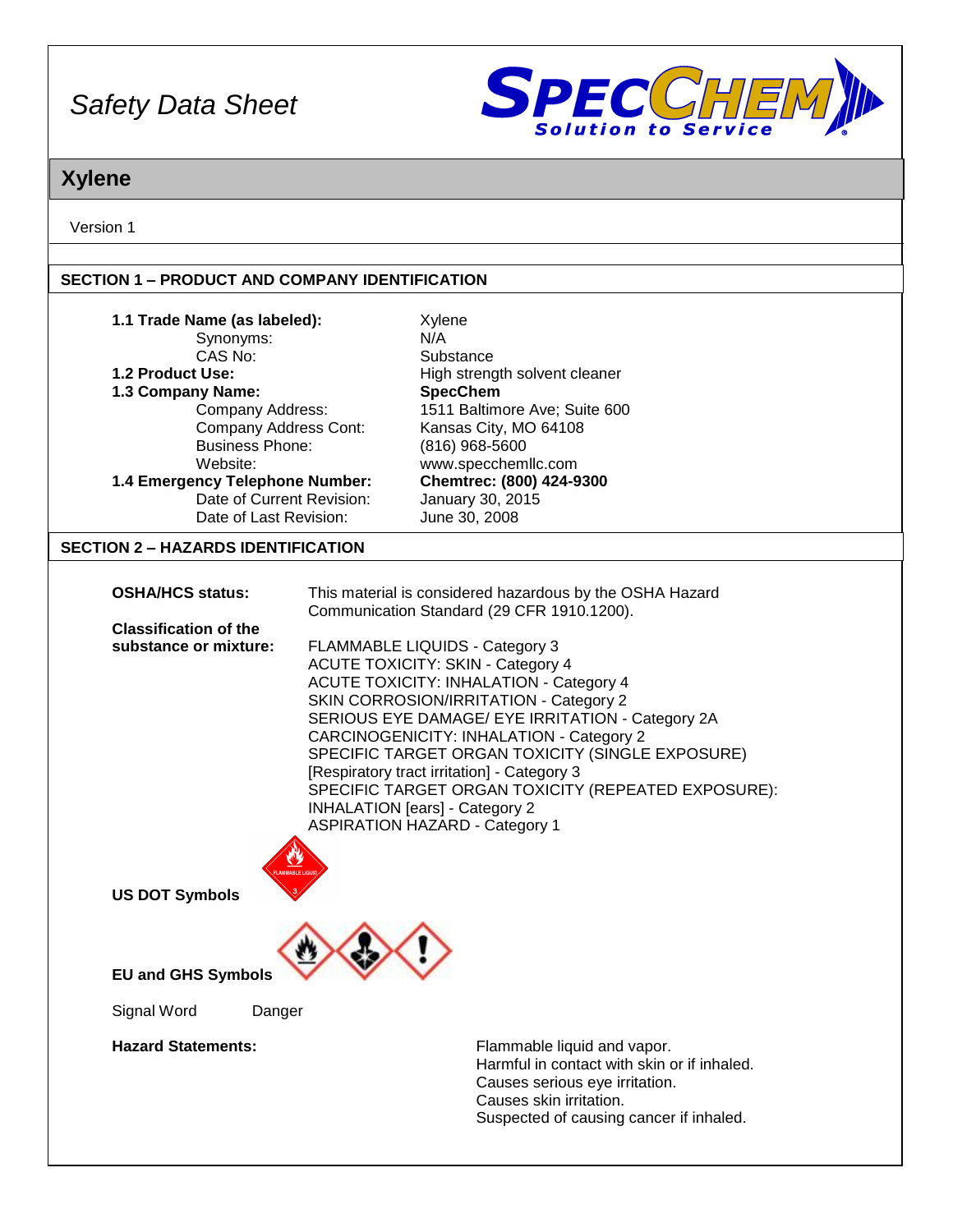

# **Xylene**

Version 1

### **SECTION 1 – PRODUCT AND COMPANY IDENTIFICATION**

| 1.1 Trade Name (as labeled):<br>Synonyms:<br>CAS No:<br>1.2 Product Use:<br>1.3 Company Name:<br>Company Address:<br>Company Address Cont:<br><b>Business Phone:</b><br>Website:<br>1.4 Emergency Telephone Number:<br>Date of Current Revision:<br>Date of Last Revision:<br><b>SECTION 2 - HAZARDS IDENTIFICATION</b> | Xylene<br>N/A<br>Substance<br>High strength solvent cleaner<br><b>SpecChem</b><br>1511 Baltimore Ave; Suite 600<br>Kansas City, MO 64108<br>(816) 968-5600<br>www.specchemllc.com<br>Chemtrec: (800) 424-9300<br>January 30, 2015<br>June 30, 2008                                                                                                                                                                                                                                                                 |
|-------------------------------------------------------------------------------------------------------------------------------------------------------------------------------------------------------------------------------------------------------------------------------------------------------------------------|--------------------------------------------------------------------------------------------------------------------------------------------------------------------------------------------------------------------------------------------------------------------------------------------------------------------------------------------------------------------------------------------------------------------------------------------------------------------------------------------------------------------|
|                                                                                                                                                                                                                                                                                                                         |                                                                                                                                                                                                                                                                                                                                                                                                                                                                                                                    |
| <b>OSHA/HCS status:</b>                                                                                                                                                                                                                                                                                                 | This material is considered hazardous by the OSHA Hazard<br>Communication Standard (29 CFR 1910.1200).                                                                                                                                                                                                                                                                                                                                                                                                             |
| <b>Classification of the</b>                                                                                                                                                                                                                                                                                            |                                                                                                                                                                                                                                                                                                                                                                                                                                                                                                                    |
| substance or mixture:<br><b>US DOT Symbols</b>                                                                                                                                                                                                                                                                          | FLAMMABLE LIQUIDS - Category 3<br><b>ACUTE TOXICITY: SKIN - Category 4</b><br><b>ACUTE TOXICITY: INHALATION - Category 4</b><br>SKIN CORROSION/IRRITATION - Category 2<br>SERIOUS EYE DAMAGE/ EYE IRRITATION - Category 2A<br>CARCINOGENICITY: INHALATION - Category 2<br>SPECIFIC TARGET ORGAN TOXICITY (SINGLE EXPOSURE)<br>[Respiratory tract irritation] - Category 3<br>SPECIFIC TARGET ORGAN TOXICITY (REPEATED EXPOSURE):<br><b>INHALATION</b> [ears] - Category 2<br><b>ASPIRATION HAZARD - Category 1</b> |
|                                                                                                                                                                                                                                                                                                                         |                                                                                                                                                                                                                                                                                                                                                                                                                                                                                                                    |
| <b>EU and GHS Symbols</b>                                                                                                                                                                                                                                                                                               |                                                                                                                                                                                                                                                                                                                                                                                                                                                                                                                    |
| Signal Word<br>Danger                                                                                                                                                                                                                                                                                                   |                                                                                                                                                                                                                                                                                                                                                                                                                                                                                                                    |
| <b>Hazard Statements:</b>                                                                                                                                                                                                                                                                                               | Flammable liquid and vapor.<br>Harmful in contact with skin or if inhaled.<br>Causes serious eye irritation.<br>Causes skin irritation.<br>Suspected of causing cancer if inhaled.                                                                                                                                                                                                                                                                                                                                 |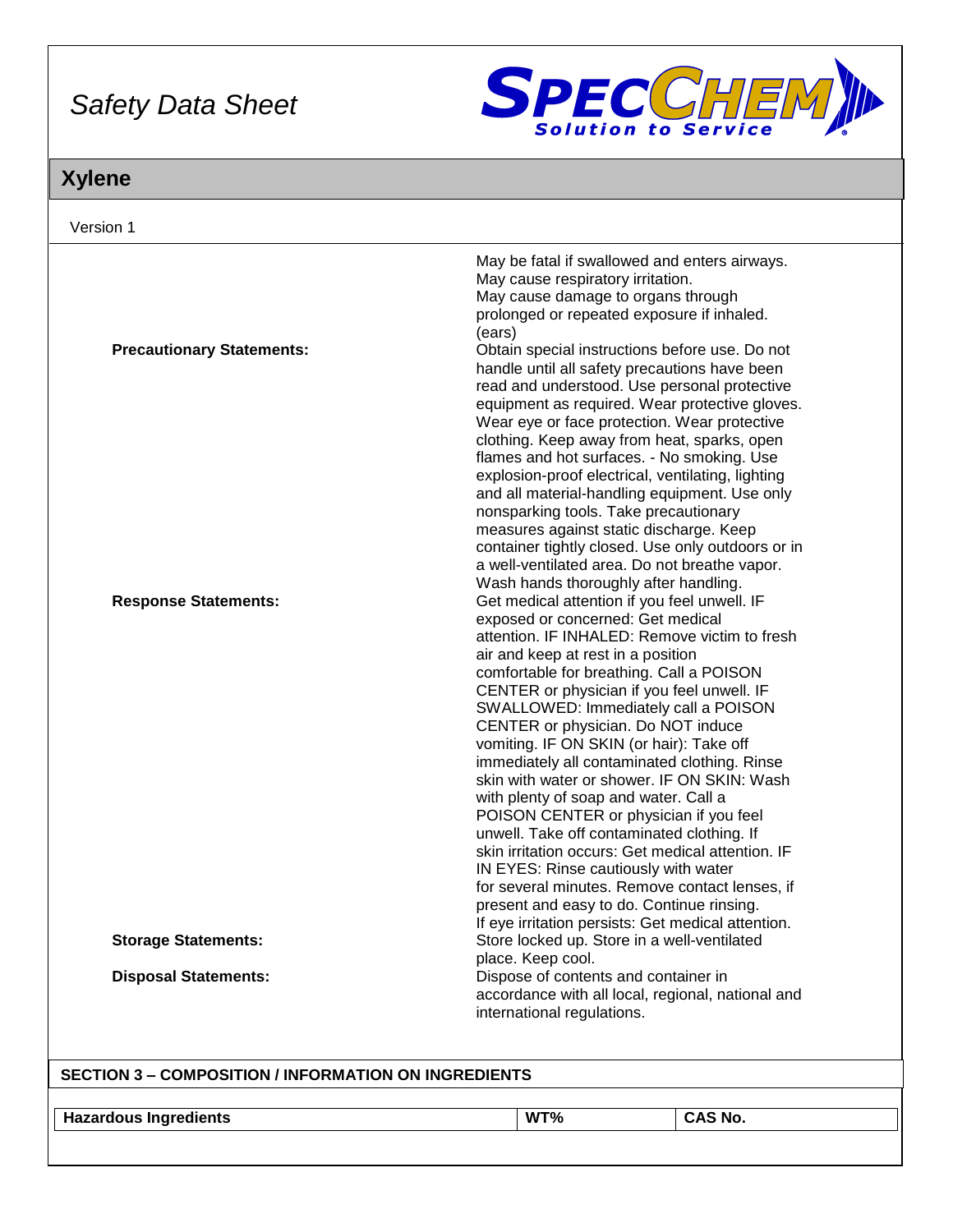

# **Xylene**

| Version 1                                                   |                                                                                                                                                                                                                                                                                                                                                                                                                                                                                                                                                                                                                                                                                                                                                                                                                                |  |
|-------------------------------------------------------------|--------------------------------------------------------------------------------------------------------------------------------------------------------------------------------------------------------------------------------------------------------------------------------------------------------------------------------------------------------------------------------------------------------------------------------------------------------------------------------------------------------------------------------------------------------------------------------------------------------------------------------------------------------------------------------------------------------------------------------------------------------------------------------------------------------------------------------|--|
|                                                             | May be fatal if swallowed and enters airways.<br>May cause respiratory irritation.<br>May cause damage to organs through<br>prolonged or repeated exposure if inhaled.                                                                                                                                                                                                                                                                                                                                                                                                                                                                                                                                                                                                                                                         |  |
| <b>Precautionary Statements:</b>                            | (ears)<br>Obtain special instructions before use. Do not<br>handle until all safety precautions have been<br>read and understood. Use personal protective<br>equipment as required. Wear protective gloves.<br>Wear eye or face protection. Wear protective<br>clothing. Keep away from heat, sparks, open<br>flames and hot surfaces. - No smoking. Use<br>explosion-proof electrical, ventilating, lighting<br>and all material-handling equipment. Use only                                                                                                                                                                                                                                                                                                                                                                 |  |
| <b>Response Statements:</b>                                 | nonsparking tools. Take precautionary<br>measures against static discharge. Keep<br>container tightly closed. Use only outdoors or in<br>a well-ventilated area. Do not breathe vapor.<br>Wash hands thoroughly after handling.<br>Get medical attention if you feel unwell. IF                                                                                                                                                                                                                                                                                                                                                                                                                                                                                                                                                |  |
|                                                             | exposed or concerned: Get medical<br>attention. IF INHALED: Remove victim to fresh<br>air and keep at rest in a position<br>comfortable for breathing. Call a POISON<br>CENTER or physician if you feel unwell. IF<br>SWALLOWED: Immediately call a POISON<br>CENTER or physician. Do NOT induce<br>vomiting. IF ON SKIN (or hair): Take off<br>immediately all contaminated clothing. Rinse<br>skin with water or shower. IF ON SKIN: Wash<br>with plenty of soap and water. Call a<br>POISON CENTER or physician if you feel<br>unwell. Take off contaminated clothing. If<br>skin irritation occurs: Get medical attention. IF<br>IN EYES: Rinse cautiously with water<br>for several minutes. Remove contact lenses, if<br>present and easy to do. Continue rinsing.<br>If eye irritation persists: Get medical attention. |  |
| <b>Storage Statements:</b>                                  | Store locked up. Store in a well-ventilated<br>place. Keep cool.                                                                                                                                                                                                                                                                                                                                                                                                                                                                                                                                                                                                                                                                                                                                                               |  |
| <b>Disposal Statements:</b>                                 | Dispose of contents and container in<br>accordance with all local, regional, national and<br>international regulations.                                                                                                                                                                                                                                                                                                                                                                                                                                                                                                                                                                                                                                                                                                        |  |
| <b>SECTION 3 - COMPOSITION / INFORMATION ON INGREDIENTS</b> |                                                                                                                                                                                                                                                                                                                                                                                                                                                                                                                                                                                                                                                                                                                                                                                                                                |  |
| <b>Hazardous Ingredients</b>                                | CAS No.<br>WT%                                                                                                                                                                                                                                                                                                                                                                                                                                                                                                                                                                                                                                                                                                                                                                                                                 |  |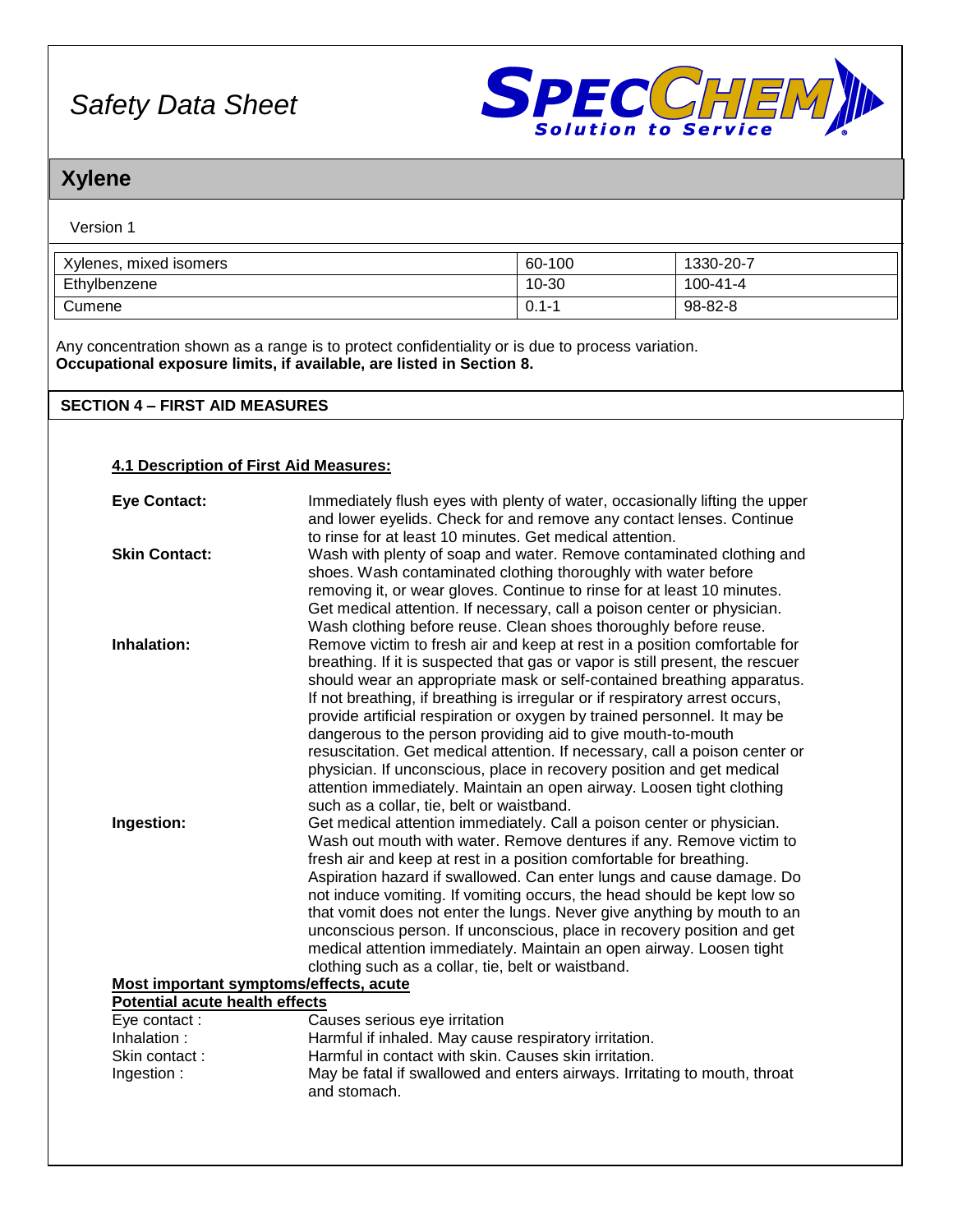

## **Xylene**

| Version 1 |  |
|-----------|--|
|-----------|--|

| Xylenes, mixed isomers | 60-100    | 1330-20-7 |
|------------------------|-----------|-----------|
| Ethylbenzene           | 10-30     | 100-41-4  |
| Cumene                 | $0.1 - 1$ | 98-82-8   |

Any concentration shown as a range is to protect confidentiality or is due to process variation. **Occupational exposure limits, if available, are listed in Section 8.**

### **SECTION 4 – FIRST AID MEASURES**

#### **4.1 Description of First Aid Measures:**

| <b>Eye Contact:</b>                    | Immediately flush eyes with plenty of water, occasionally lifting the upper   |  |
|----------------------------------------|-------------------------------------------------------------------------------|--|
|                                        | and lower eyelids. Check for and remove any contact lenses. Continue          |  |
|                                        | to rinse for at least 10 minutes. Get medical attention.                      |  |
| <b>Skin Contact:</b>                   | Wash with plenty of soap and water. Remove contaminated clothing and          |  |
|                                        | shoes. Wash contaminated clothing thoroughly with water before                |  |
|                                        | removing it, or wear gloves. Continue to rinse for at least 10 minutes.       |  |
|                                        | Get medical attention. If necessary, call a poison center or physician.       |  |
|                                        | Wash clothing before reuse. Clean shoes thoroughly before reuse.              |  |
| Inhalation:                            | Remove victim to fresh air and keep at rest in a position comfortable for     |  |
|                                        | breathing. If it is suspected that gas or vapor is still present, the rescuer |  |
|                                        | should wear an appropriate mask or self-contained breathing apparatus.        |  |
|                                        | If not breathing, if breathing is irregular or if respiratory arrest occurs,  |  |
|                                        | provide artificial respiration or oxygen by trained personnel. It may be      |  |
|                                        | dangerous to the person providing aid to give mouth-to-mouth                  |  |
|                                        | resuscitation. Get medical attention. If necessary, call a poison center or   |  |
|                                        | physician. If unconscious, place in recovery position and get medical         |  |
|                                        | attention immediately. Maintain an open airway. Loosen tight clothing         |  |
|                                        | such as a collar, tie, belt or waistband.                                     |  |
| Ingestion:                             | Get medical attention immediately. Call a poison center or physician.         |  |
|                                        | Wash out mouth with water. Remove dentures if any. Remove victim to           |  |
|                                        | fresh air and keep at rest in a position comfortable for breathing.           |  |
|                                        | Aspiration hazard if swallowed. Can enter lungs and cause damage. Do          |  |
|                                        | not induce vomiting. If vomiting occurs, the head should be kept low so       |  |
|                                        | that vomit does not enter the lungs. Never give anything by mouth to an       |  |
|                                        | unconscious person. If unconscious, place in recovery position and get        |  |
|                                        | medical attention immediately. Maintain an open airway. Loosen tight          |  |
|                                        | clothing such as a collar, tie, belt or waistband.                            |  |
| Most important symptoms/effects, acute |                                                                               |  |
| <b>Potential acute health effects</b>  |                                                                               |  |
| Eye contact:                           | Causes serious eye irritation                                                 |  |
| Inhalation:                            | Harmful if inhaled. May cause respiratory irritation.                         |  |
| Skin contact:                          | Harmful in contact with skin. Causes skin irritation.                         |  |
| Ingestion:                             | May be fatal if swallowed and enters airways. Irritating to mouth, throat     |  |
|                                        | and stomach.                                                                  |  |
|                                        |                                                                               |  |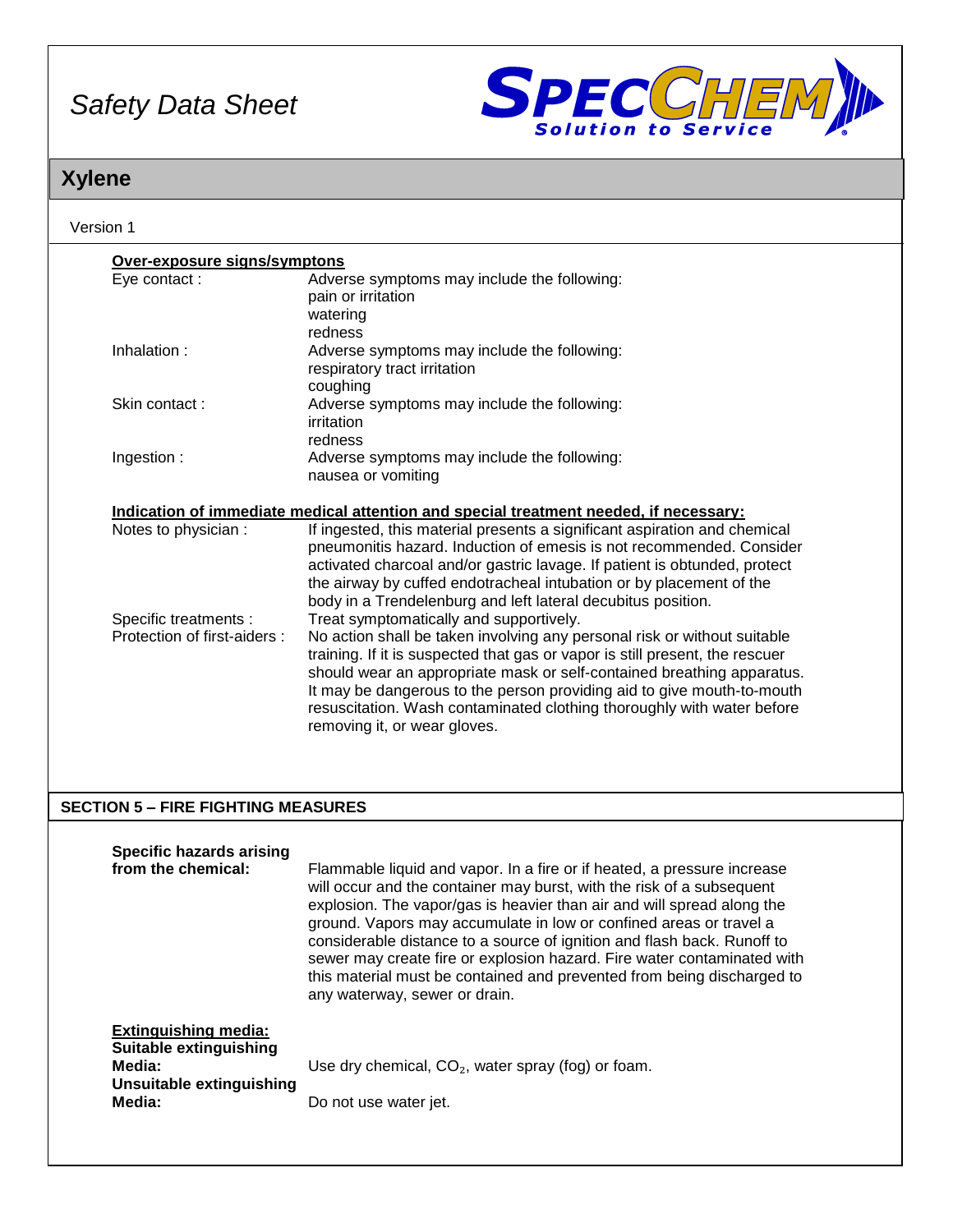

# **Xylene**

| Version 1                                                                     |                                                                                                                                                                                                                                                                                                                                                                                                                                                                                                                                                                                                                                                                                                                                                                                                                                            |  |
|-------------------------------------------------------------------------------|--------------------------------------------------------------------------------------------------------------------------------------------------------------------------------------------------------------------------------------------------------------------------------------------------------------------------------------------------------------------------------------------------------------------------------------------------------------------------------------------------------------------------------------------------------------------------------------------------------------------------------------------------------------------------------------------------------------------------------------------------------------------------------------------------------------------------------------------|--|
| Over-exposure signs/symptons                                                  |                                                                                                                                                                                                                                                                                                                                                                                                                                                                                                                                                                                                                                                                                                                                                                                                                                            |  |
| Eye contact:                                                                  | Adverse symptoms may include the following:<br>pain or irritation<br>watering<br>redness                                                                                                                                                                                                                                                                                                                                                                                                                                                                                                                                                                                                                                                                                                                                                   |  |
| Inhalation:                                                                   | Adverse symptoms may include the following:<br>respiratory tract irritation<br>coughing                                                                                                                                                                                                                                                                                                                                                                                                                                                                                                                                                                                                                                                                                                                                                    |  |
| Skin contact:                                                                 | Adverse symptoms may include the following:<br>irritation<br>redness                                                                                                                                                                                                                                                                                                                                                                                                                                                                                                                                                                                                                                                                                                                                                                       |  |
| Ingestion:                                                                    | Adverse symptoms may include the following:<br>nausea or vomiting                                                                                                                                                                                                                                                                                                                                                                                                                                                                                                                                                                                                                                                                                                                                                                          |  |
|                                                                               | Indication of immediate medical attention and special treatment needed, if necessary:                                                                                                                                                                                                                                                                                                                                                                                                                                                                                                                                                                                                                                                                                                                                                      |  |
| Notes to physician :<br>Specific treatments :<br>Protection of first-aiders : | If ingested, this material presents a significant aspiration and chemical<br>pneumonitis hazard. Induction of emesis is not recommended. Consider<br>activated charcoal and/or gastric lavage. If patient is obtunded, protect<br>the airway by cuffed endotracheal intubation or by placement of the<br>body in a Trendelenburg and left lateral decubitus position.<br>Treat symptomatically and supportively.<br>No action shall be taken involving any personal risk or without suitable<br>training. If it is suspected that gas or vapor is still present, the rescuer<br>should wear an appropriate mask or self-contained breathing apparatus.<br>It may be dangerous to the person providing aid to give mouth-to-mouth<br>resuscitation. Wash contaminated clothing thoroughly with water before<br>removing it, or wear gloves. |  |
| <b>SECTION 5 - FIRE FIGHTING MEASURES</b>                                     |                                                                                                                                                                                                                                                                                                                                                                                                                                                                                                                                                                                                                                                                                                                                                                                                                                            |  |
| <b>Specific hazards arising</b><br>from the chemical:                         | Flammable liquid and vapor. In a fire or if heated, a pressure increase<br>will occur and the container may burst, with the risk of a subsequent<br>explosion. The vapor/gas is heavier than air and will spread along the<br>ground. Vapors may accumulate in low or confined areas or travel a<br>considerable distance to a source of ignition and flash back. Runoff to                                                                                                                                                                                                                                                                                                                                                                                                                                                                |  |

|                                                                                                       | any waterway, sewer or drain.                                                 |
|-------------------------------------------------------------------------------------------------------|-------------------------------------------------------------------------------|
| <b>Extinguishing media:</b><br>Suitable extinguishing<br>Media:<br>Unsuitable extinguishing<br>Media: | Use dry chemical, $CO2$ , water spray (fog) or foam.<br>Do not use water jet. |

sewer may create fire or explosion hazard. Fire water contaminated with this material must be contained and prevented from being discharged to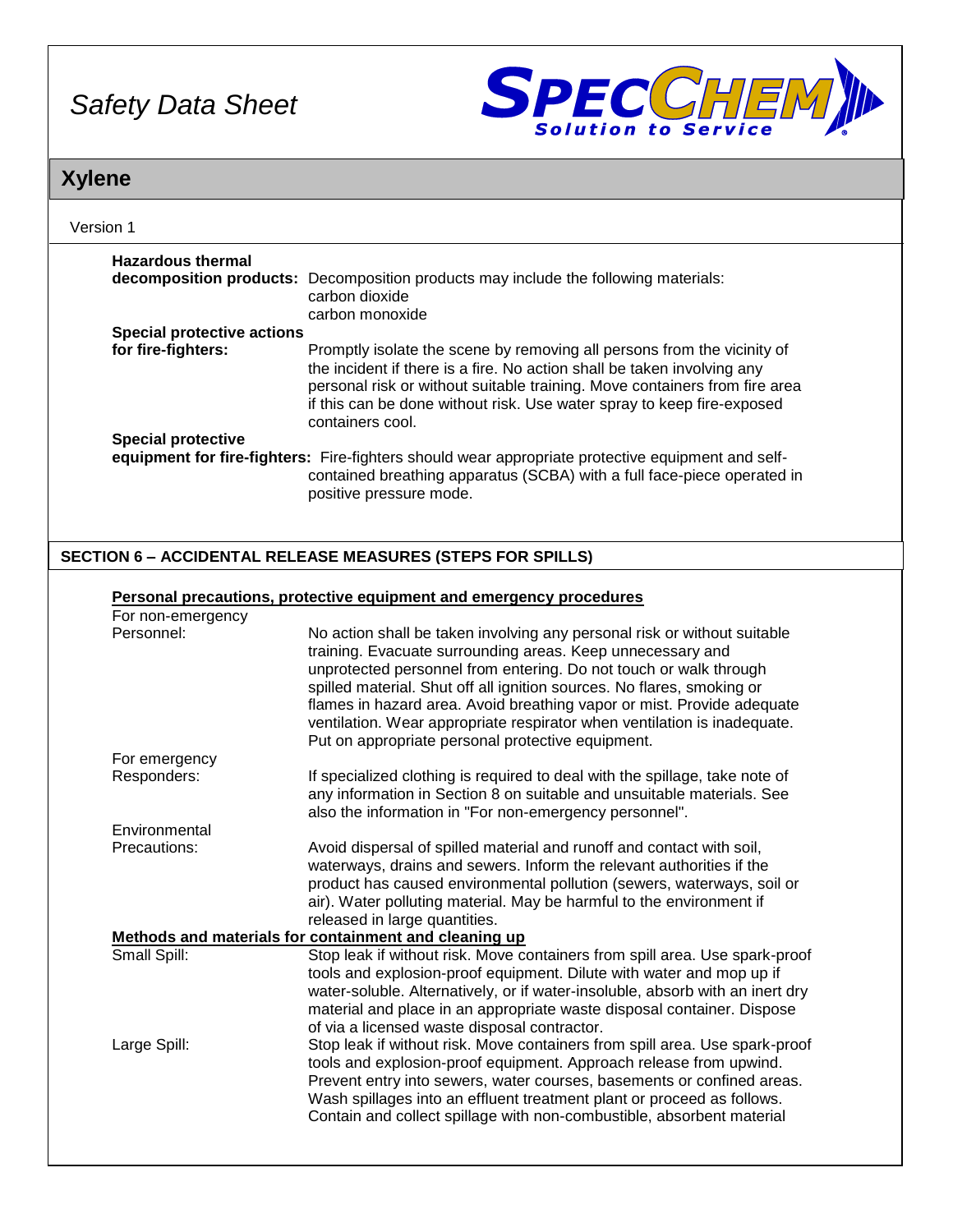

## **Xylene**

| Version 1                         |                                                                                                                                                                                                                                                     |  |
|-----------------------------------|-----------------------------------------------------------------------------------------------------------------------------------------------------------------------------------------------------------------------------------------------------|--|
| <b>Hazardous thermal</b>          |                                                                                                                                                                                                                                                     |  |
|                                   | decomposition products: Decomposition products may include the following materials:<br>carbon dioxide<br>carbon monoxide                                                                                                                            |  |
| <b>Special protective actions</b> |                                                                                                                                                                                                                                                     |  |
| for fire-fighters:                | Promptly isolate the scene by removing all persons from the vicinity of                                                                                                                                                                             |  |
|                                   | the incident if there is a fire. No action shall be taken involving any<br>personal risk or without suitable training. Move containers from fire area<br>if this can be done without risk. Use water spray to keep fire-exposed<br>containers cool. |  |
| <b>Special protective</b>         |                                                                                                                                                                                                                                                     |  |
|                                   | equipment for fire-fighters: Fire-fighters should wear appropriate protective equipment and self-<br>contained breathing apparatus (SCBA) with a full face-piece operated in<br>positive pressure mode.                                             |  |
|                                   | <b>SECTION 6 - ACCIDENTAL RELEASE MEASURES (STEPS FOR SPILLS)</b>                                                                                                                                                                                   |  |
|                                   |                                                                                                                                                                                                                                                     |  |
|                                   | Personal precautions, protective equipment and emergency procedures                                                                                                                                                                                 |  |
| For non-emergency                 |                                                                                                                                                                                                                                                     |  |
| Personnel:                        | No action shall be taken involving any personal risk or without suitable                                                                                                                                                                            |  |
|                                   | training. Evacuate surrounding areas. Keep unnecessary and                                                                                                                                                                                          |  |
|                                   | unprotected personnel from entering. Do not touch or walk through                                                                                                                                                                                   |  |
|                                   | spilled material. Shut off all ignition sources. No flares, smoking or                                                                                                                                                                              |  |
|                                   | flames in hazard area. Avoid breathing vapor or mist. Provide adequate                                                                                                                                                                              |  |
|                                   | ventilation. Wear appropriate respirator when ventilation is inadequate.                                                                                                                                                                            |  |
|                                   | Put on appropriate personal protective equipment.                                                                                                                                                                                                   |  |
| For emergency                     |                                                                                                                                                                                                                                                     |  |
| Responders:                       | If specialized clothing is required to deal with the spillage, take note of                                                                                                                                                                         |  |
|                                   | any information in Section 8 on suitable and unsuitable materials. See                                                                                                                                                                              |  |
|                                   | also the information in "For non-emergency personnel".                                                                                                                                                                                              |  |
| Environmental                     |                                                                                                                                                                                                                                                     |  |
| Precautions:                      | Avoid dispersal of spilled material and runoff and contact with soil,                                                                                                                                                                               |  |
|                                   | waterways, drains and sewers. Inform the relevant authorities if the                                                                                                                                                                                |  |
|                                   | product has caused environmental pollution (sewers, waterways, soil or                                                                                                                                                                              |  |
|                                   | air). Water polluting material. May be harmful to the environment if                                                                                                                                                                                |  |
|                                   | released in large quantities.                                                                                                                                                                                                                       |  |
|                                   | Methods and materials for containment and cleaning up                                                                                                                                                                                               |  |
| Small Spill:                      | Stop leak if without risk. Move containers from spill area. Use spark-proof                                                                                                                                                                         |  |
|                                   | tools and explosion-proof equipment. Dilute with water and mop up if                                                                                                                                                                                |  |
|                                   | water-soluble. Alternatively, or if water-insoluble, absorb with an inert dry                                                                                                                                                                       |  |

material and place in an appropriate waste disposal container. Dispose of via a licensed waste disposal contractor. Large Spill: Stop leak if without risk. Move containers from spill area. Use spark-proof tools and explosion-proof equipment. Approach release from upwind. Prevent entry into sewers, water courses, basements or confined areas. Wash spillages into an effluent treatment plant or proceed as follows. Contain and collect spillage with non-combustible, absorbent material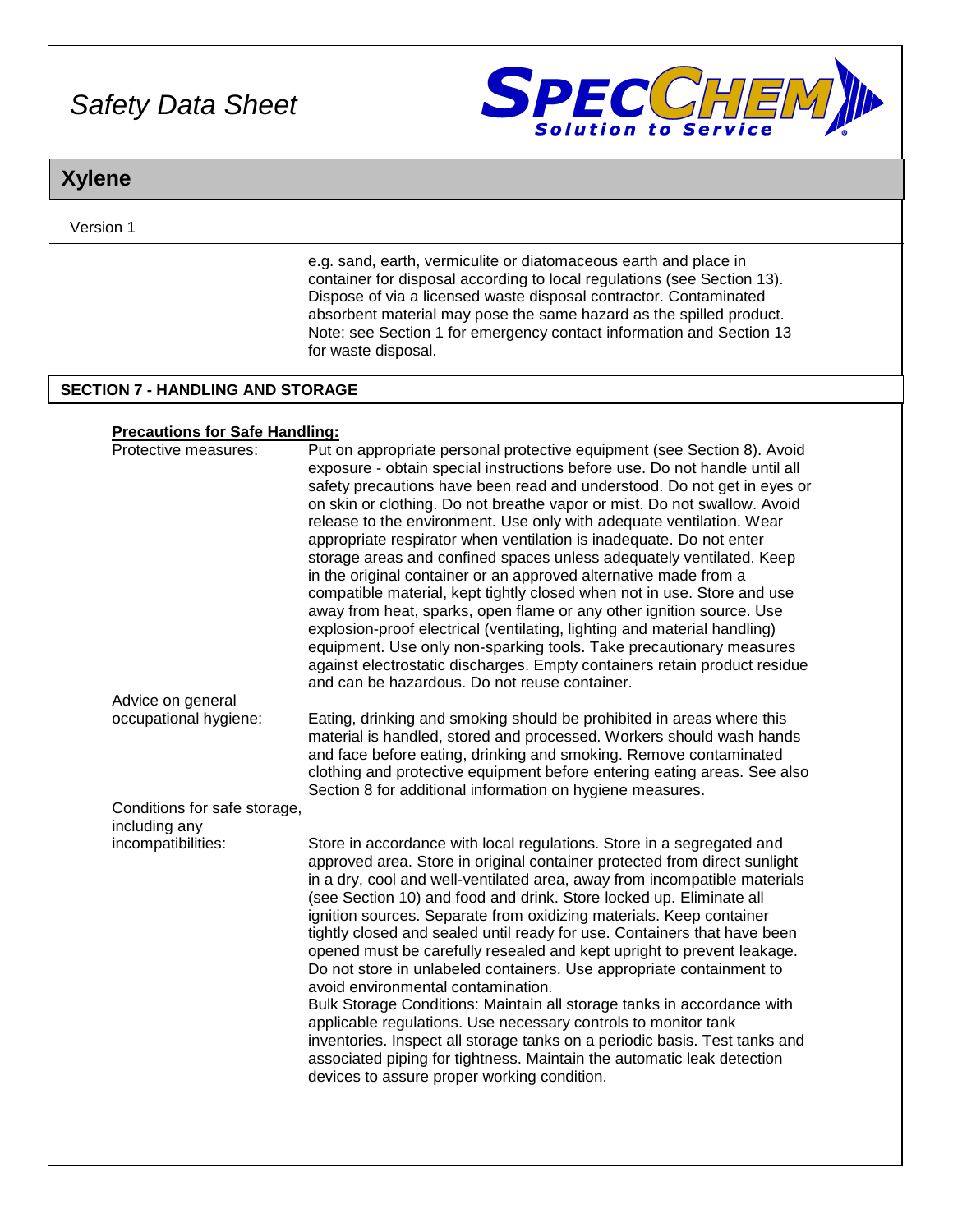

## **Xylene**

Version 1

e.g. sand, earth, vermiculite or diatomaceous earth and place in container for disposal according to local regulations (see Section 13). Dispose of via a licensed waste disposal contractor. Contaminated absorbent material may pose the same hazard as the spilled product. Note: see Section 1 for emergency contact information and Section 13 for waste disposal.

### **SECTION 7 - HANDLING AND STORAGE**

#### **Precautions for Safe Handling:**

| Protective measures:         | Put on appropriate personal protective equipment (see Section 8). Avoid<br>exposure - obtain special instructions before use. Do not handle until all<br>safety precautions have been read and understood. Do not get in eyes or<br>on skin or clothing. Do not breathe vapor or mist. Do not swallow. Avoid<br>release to the environment. Use only with adequate ventilation. Wear<br>appropriate respirator when ventilation is inadequate. Do not enter<br>storage areas and confined spaces unless adequately ventilated. Keep<br>in the original container or an approved alternative made from a<br>compatible material, kept tightly closed when not in use. Store and use<br>away from heat, sparks, open flame or any other ignition source. Use<br>explosion-proof electrical (ventilating, lighting and material handling)<br>equipment. Use only non-sparking tools. Take precautionary measures<br>against electrostatic discharges. Empty containers retain product residue<br>and can be hazardous. Do not reuse container. |
|------------------------------|---------------------------------------------------------------------------------------------------------------------------------------------------------------------------------------------------------------------------------------------------------------------------------------------------------------------------------------------------------------------------------------------------------------------------------------------------------------------------------------------------------------------------------------------------------------------------------------------------------------------------------------------------------------------------------------------------------------------------------------------------------------------------------------------------------------------------------------------------------------------------------------------------------------------------------------------------------------------------------------------------------------------------------------------|
| Advice on general            |                                                                                                                                                                                                                                                                                                                                                                                                                                                                                                                                                                                                                                                                                                                                                                                                                                                                                                                                                                                                                                             |
| occupational hygiene:        | Eating, drinking and smoking should be prohibited in areas where this<br>material is handled, stored and processed. Workers should wash hands<br>and face before eating, drinking and smoking. Remove contaminated<br>clothing and protective equipment before entering eating areas. See also<br>Section 8 for additional information on hygiene measures.                                                                                                                                                                                                                                                                                                                                                                                                                                                                                                                                                                                                                                                                                 |
| Conditions for safe storage, |                                                                                                                                                                                                                                                                                                                                                                                                                                                                                                                                                                                                                                                                                                                                                                                                                                                                                                                                                                                                                                             |
| including any                |                                                                                                                                                                                                                                                                                                                                                                                                                                                                                                                                                                                                                                                                                                                                                                                                                                                                                                                                                                                                                                             |
| incompatibilities:           | Store in accordance with local regulations. Store in a segregated and<br>approved area. Store in original container protected from direct sunlight<br>in a dry, cool and well-ventilated area, away from incompatible materials<br>(see Section 10) and food and drink. Store locked up. Eliminate all<br>ignition sources. Separate from oxidizing materials. Keep container<br>tightly closed and sealed until ready for use. Containers that have been<br>opened must be carefully resealed and kept upright to prevent leakage.<br>Do not store in unlabeled containers. Use appropriate containment to<br>avoid environmental contamination.<br>Bulk Storage Conditions: Maintain all storage tanks in accordance with<br>applicable regulations. Use necessary controls to monitor tank<br>inventories. Inspect all storage tanks on a periodic basis. Test tanks and<br>associated piping for tightness. Maintain the automatic leak detection<br>devices to assure proper working condition.                                        |
|                              |                                                                                                                                                                                                                                                                                                                                                                                                                                                                                                                                                                                                                                                                                                                                                                                                                                                                                                                                                                                                                                             |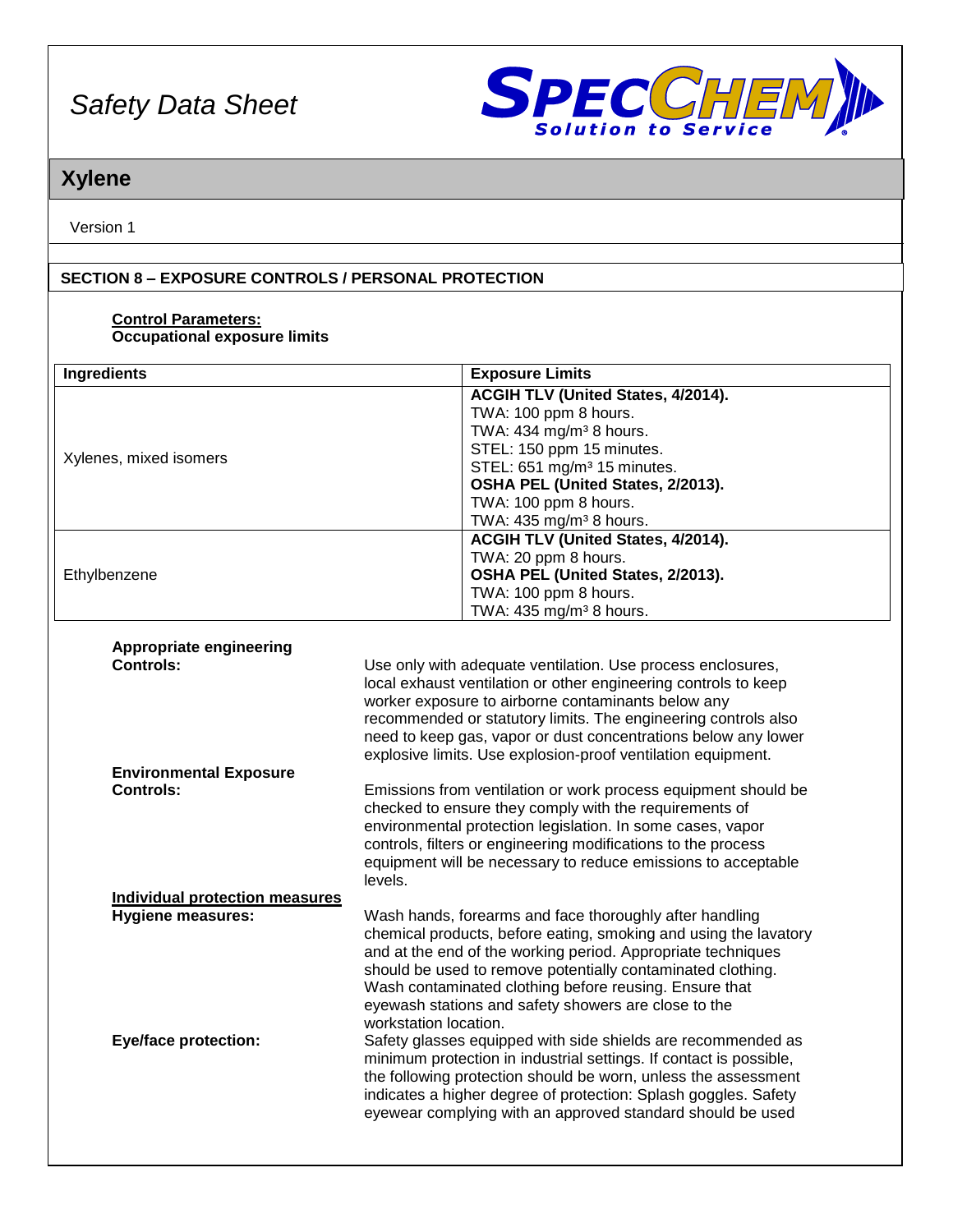

# **Xylene**

Version 1

### **SECTION 8 – EXPOSURE CONTROLS / PERSONAL PROTECTION**

#### **Control Parameters: Occupational exposure limits**

| <b>Ingredients</b>                                                                               | <b>Exposure Limits</b>                                                                                                                                                                                                                                                                                                                                                                                                                                                                                                                                                                                                                                                                                                                         |  |
|--------------------------------------------------------------------------------------------------|------------------------------------------------------------------------------------------------------------------------------------------------------------------------------------------------------------------------------------------------------------------------------------------------------------------------------------------------------------------------------------------------------------------------------------------------------------------------------------------------------------------------------------------------------------------------------------------------------------------------------------------------------------------------------------------------------------------------------------------------|--|
| Xylenes, mixed isomers                                                                           | ACGIH TLV (United States, 4/2014).<br>TWA: 100 ppm 8 hours.<br>TWA: 434 mg/m <sup>3</sup> 8 hours.<br>STEL: 150 ppm 15 minutes.<br>STEL: 651 mg/m <sup>3</sup> 15 minutes.<br>OSHA PEL (United States, 2/2013).<br>TWA: 100 ppm 8 hours.<br>TWA: 435 mg/m <sup>3</sup> 8 hours.                                                                                                                                                                                                                                                                                                                                                                                                                                                                |  |
| Ethylbenzene                                                                                     | <b>ACGIH TLV (United States, 4/2014).</b><br>TWA: 20 ppm 8 hours.<br>OSHA PEL (United States, 2/2013).<br>TWA: 100 ppm 8 hours.<br>TWA: 435 mg/m <sup>3</sup> 8 hours.                                                                                                                                                                                                                                                                                                                                                                                                                                                                                                                                                                         |  |
|                                                                                                  |                                                                                                                                                                                                                                                                                                                                                                                                                                                                                                                                                                                                                                                                                                                                                |  |
| Appropriate engineering<br><b>Controls:</b>                                                      | Use only with adequate ventilation. Use process enclosures,<br>local exhaust ventilation or other engineering controls to keep<br>worker exposure to airborne contaminants below any<br>recommended or statutory limits. The engineering controls also<br>need to keep gas, vapor or dust concentrations below any lower<br>explosive limits. Use explosion-proof ventilation equipment.                                                                                                                                                                                                                                                                                                                                                       |  |
| <b>Environmental Exposure</b>                                                                    |                                                                                                                                                                                                                                                                                                                                                                                                                                                                                                                                                                                                                                                                                                                                                |  |
| <b>Controls:</b>                                                                                 | Emissions from ventilation or work process equipment should be<br>checked to ensure they comply with the requirements of<br>environmental protection legislation. In some cases, vapor<br>controls, filters or engineering modifications to the process<br>equipment will be necessary to reduce emissions to acceptable<br>levels.                                                                                                                                                                                                                                                                                                                                                                                                            |  |
| <b>Individual protection measures</b><br><b>Hygiene measures:</b><br><b>Eye/face protection:</b> | Wash hands, forearms and face thoroughly after handling<br>chemical products, before eating, smoking and using the lavatory<br>and at the end of the working period. Appropriate techniques<br>should be used to remove potentially contaminated clothing.<br>Wash contaminated clothing before reusing. Ensure that<br>eyewash stations and safety showers are close to the<br>workstation location.<br>Safety glasses equipped with side shields are recommended as<br>minimum protection in industrial settings. If contact is possible,<br>the following protection should be worn, unless the assessment<br>indicates a higher degree of protection: Splash goggles. Safety<br>eyewear complying with an approved standard should be used |  |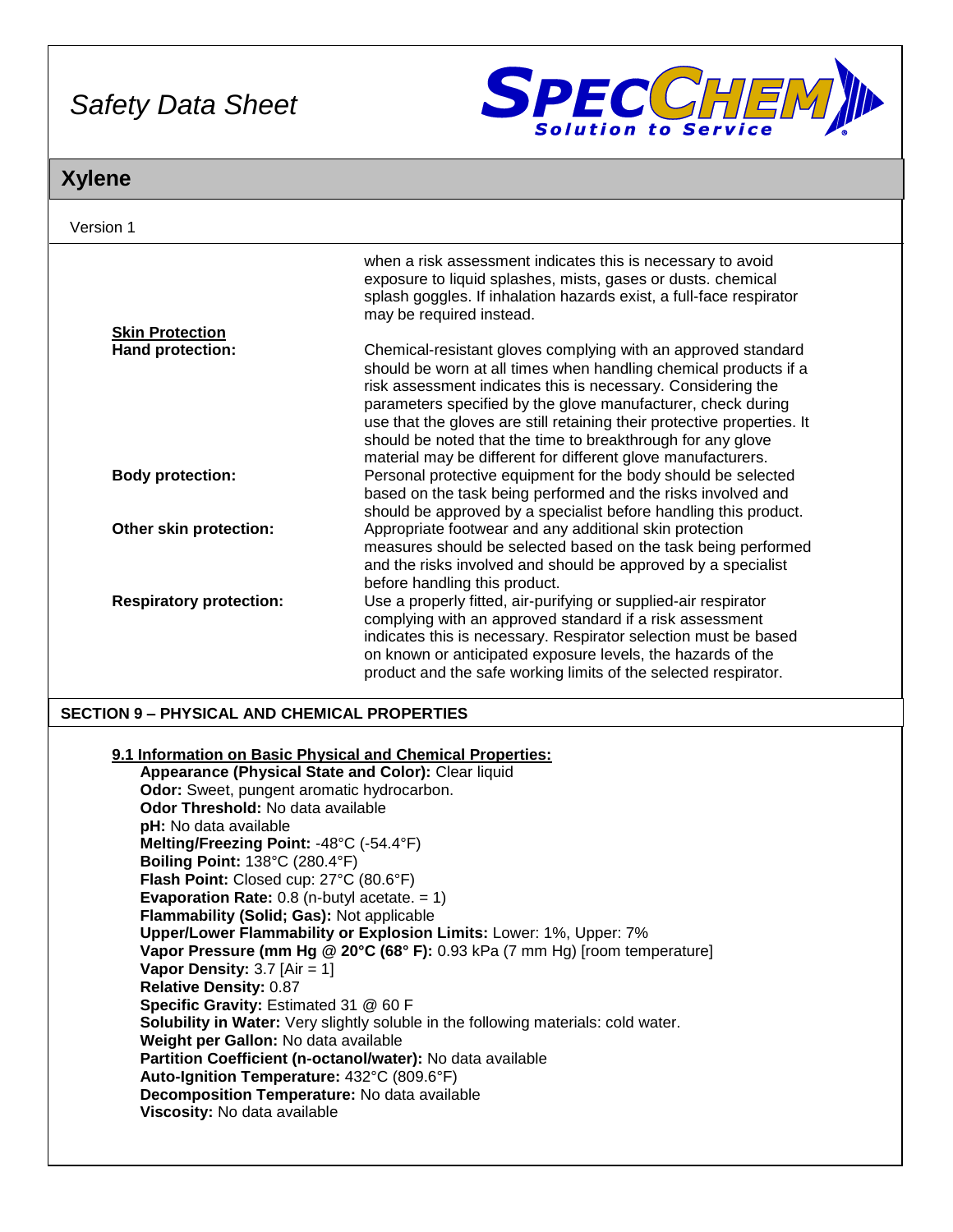

# **Xylene**

| Version 1                                                                                                                                                                                                                                                                                                                                                                                                                                                                                                                                                                                                                                                                                                                                                                                                                                                                                                                                                                                                                                                                                                            |                                                                                                                                                                                                                                                                                                                                                                                                                                                                             |  |
|----------------------------------------------------------------------------------------------------------------------------------------------------------------------------------------------------------------------------------------------------------------------------------------------------------------------------------------------------------------------------------------------------------------------------------------------------------------------------------------------------------------------------------------------------------------------------------------------------------------------------------------------------------------------------------------------------------------------------------------------------------------------------------------------------------------------------------------------------------------------------------------------------------------------------------------------------------------------------------------------------------------------------------------------------------------------------------------------------------------------|-----------------------------------------------------------------------------------------------------------------------------------------------------------------------------------------------------------------------------------------------------------------------------------------------------------------------------------------------------------------------------------------------------------------------------------------------------------------------------|--|
|                                                                                                                                                                                                                                                                                                                                                                                                                                                                                                                                                                                                                                                                                                                                                                                                                                                                                                                                                                                                                                                                                                                      | when a risk assessment indicates this is necessary to avoid<br>exposure to liquid splashes, mists, gases or dusts. chemical<br>splash goggles. If inhalation hazards exist, a full-face respirator<br>may be required instead.                                                                                                                                                                                                                                              |  |
| <b>Skin Protection</b>                                                                                                                                                                                                                                                                                                                                                                                                                                                                                                                                                                                                                                                                                                                                                                                                                                                                                                                                                                                                                                                                                               |                                                                                                                                                                                                                                                                                                                                                                                                                                                                             |  |
| Hand protection:                                                                                                                                                                                                                                                                                                                                                                                                                                                                                                                                                                                                                                                                                                                                                                                                                                                                                                                                                                                                                                                                                                     | Chemical-resistant gloves complying with an approved standard<br>should be worn at all times when handling chemical products if a<br>risk assessment indicates this is necessary. Considering the<br>parameters specified by the glove manufacturer, check during<br>use that the gloves are still retaining their protective properties. It<br>should be noted that the time to breakthrough for any glove<br>material may be different for different glove manufacturers. |  |
| <b>Body protection:</b>                                                                                                                                                                                                                                                                                                                                                                                                                                                                                                                                                                                                                                                                                                                                                                                                                                                                                                                                                                                                                                                                                              | Personal protective equipment for the body should be selected<br>based on the task being performed and the risks involved and<br>should be approved by a specialist before handling this product.                                                                                                                                                                                                                                                                           |  |
| Other skin protection:                                                                                                                                                                                                                                                                                                                                                                                                                                                                                                                                                                                                                                                                                                                                                                                                                                                                                                                                                                                                                                                                                               | Appropriate footwear and any additional skin protection<br>measures should be selected based on the task being performed<br>and the risks involved and should be approved by a specialist<br>before handling this product.                                                                                                                                                                                                                                                  |  |
| <b>Respiratory protection:</b>                                                                                                                                                                                                                                                                                                                                                                                                                                                                                                                                                                                                                                                                                                                                                                                                                                                                                                                                                                                                                                                                                       | Use a properly fitted, air-purifying or supplied-air respirator<br>complying with an approved standard if a risk assessment<br>indicates this is necessary. Respirator selection must be based<br>on known or anticipated exposure levels, the hazards of the<br>product and the safe working limits of the selected respirator.                                                                                                                                            |  |
|                                                                                                                                                                                                                                                                                                                                                                                                                                                                                                                                                                                                                                                                                                                                                                                                                                                                                                                                                                                                                                                                                                                      |                                                                                                                                                                                                                                                                                                                                                                                                                                                                             |  |
| <b>SECTION 9 - PHYSICAL AND CHEMICAL PROPERTIES</b><br>9.1 Information on Basic Physical and Chemical Properties:<br>Appearance (Physical State and Color): Clear liquid<br>Odor: Sweet, pungent aromatic hydrocarbon.<br>Odor Threshold: No data available<br>pH: No data available<br>Melting/Freezing Point: -48°C (-54.4°F)<br><b>Boiling Point: 138°C (280.4°F)</b><br>Flash Point: Closed cup: 27°C (80.6°F)<br><b>Evaporation Rate:</b> 0.8 (n-butyl acetate. $= 1$ )<br>Flammability (Solid; Gas): Not applicable<br>Upper/Lower Flammability or Explosion Limits: Lower: 1%, Upper: 7%<br>Vapor Pressure (mm Hg @ 20°C (68° F): 0.93 kPa (7 mm Hg) [room temperature]<br>Vapor Density: $3.7$ [Air = 1]<br><b>Relative Density: 0.87</b><br>Specific Gravity: Estimated 31 @ 60 F<br>Solubility in Water: Very slightly soluble in the following materials: cold water.<br>Weight per Gallon: No data available<br>Partition Coefficient (n-octanol/water): No data available<br>Auto-Ignition Temperature: 432°C (809.6°F)<br>Decomposition Temperature: No data available<br>Viscosity: No data available |                                                                                                                                                                                                                                                                                                                                                                                                                                                                             |  |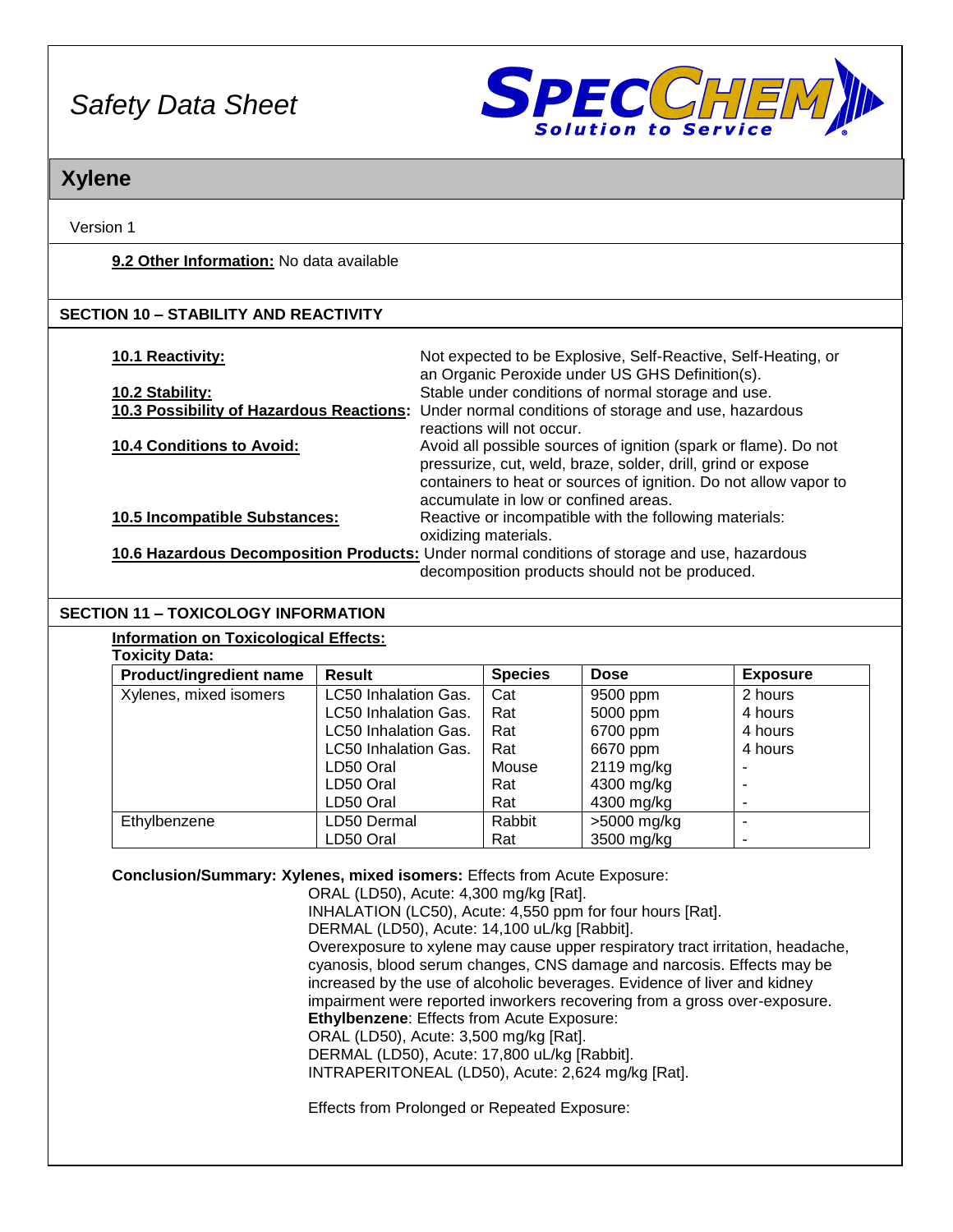

## **Xylene**

Version 1

### **9.2 Other Information:** No data available

### **SECTION 10 – STABILITY AND REACTIVITY**

| 10.1 Reactivity:                     | Not expected to be Explosive, Self-Reactive, Self-Heating, or                                  |
|--------------------------------------|------------------------------------------------------------------------------------------------|
|                                      | an Organic Peroxide under US GHS Definition(s).                                                |
| 10.2 Stability:                      | Stable under conditions of normal storage and use.                                             |
|                                      | 10.3 Possibility of Hazardous Reactions: Under normal conditions of storage and use, hazardous |
|                                      | reactions will not occur.                                                                      |
| <b>10.4 Conditions to Avoid:</b>     | Avoid all possible sources of ignition (spark or flame). Do not                                |
|                                      | pressurize, cut, weld, braze, solder, drill, grind or expose                                   |
|                                      | containers to heat or sources of ignition. Do not allow vapor to                               |
|                                      | accumulate in low or confined areas.                                                           |
| <b>10.5 Incompatible Substances:</b> | Reactive or incompatible with the following materials:                                         |
|                                      | oxidizing materials.                                                                           |
|                                      | 10.6 Hazardous Decomposition Products: Under normal conditions of storage and use, hazardous   |

decomposition products should not be produced.

### **SECTION 11 – TOXICOLOGY INFORMATION**

|                       | <b>Information on Toxicological Effects:</b> |
|-----------------------|----------------------------------------------|
| <b>Toxicity Data:</b> |                                              |

| I UAIUILY DALA.                |                      |                |             |                 |
|--------------------------------|----------------------|----------------|-------------|-----------------|
| <b>Product/ingredient name</b> | <b>Result</b>        | <b>Species</b> | <b>Dose</b> | <b>Exposure</b> |
| Xylenes, mixed isomers         | LC50 Inhalation Gas. | Cat            | 9500 ppm    | 2 hours         |
|                                | LC50 Inhalation Gas. | Rat            | 5000 ppm    | 4 hours         |
|                                | LC50 Inhalation Gas. | Rat            | 6700 ppm    | 4 hours         |
|                                | LC50 Inhalation Gas. | Rat            | 6670 ppm    | 4 hours         |
|                                | LD50 Oral            | Mouse          | 2119 mg/kg  |                 |
|                                | LD50 Oral            | Rat            | 4300 mg/kg  |                 |
|                                | LD50 Oral            | Rat            | 4300 mg/kg  |                 |
| Ethylbenzene                   | LD50 Dermal          | Rabbit         | >5000 mg/kg |                 |
|                                | LD50 Oral            | Rat            | 3500 mg/kg  |                 |

**Conclusion/Summary: Xylenes, mixed isomers:** Effects from Acute Exposure:

ORAL (LD50), Acute: 4,300 mg/kg [Rat]. INHALATION (LC50), Acute: 4,550 ppm for four hours [Rat]. DERMAL (LD50), Acute: 14,100 uL/kg [Rabbit]. Overexposure to xylene may cause upper respiratory tract irritation, headache, cyanosis, blood serum changes, CNS damage and narcosis. Effects may be increased by the use of alcoholic beverages. Evidence of liver and kidney impairment were reported inworkers recovering from a gross over-exposure. **Ethylbenzene**: Effects from Acute Exposure: ORAL (LD50), Acute: 3,500 mg/kg [Rat]. DERMAL (LD50), Acute: 17,800 uL/kg [Rabbit]. INTRAPERITONEAL (LD50), Acute: 2,624 mg/kg [Rat]. Effects from Prolonged or Repeated Exposure: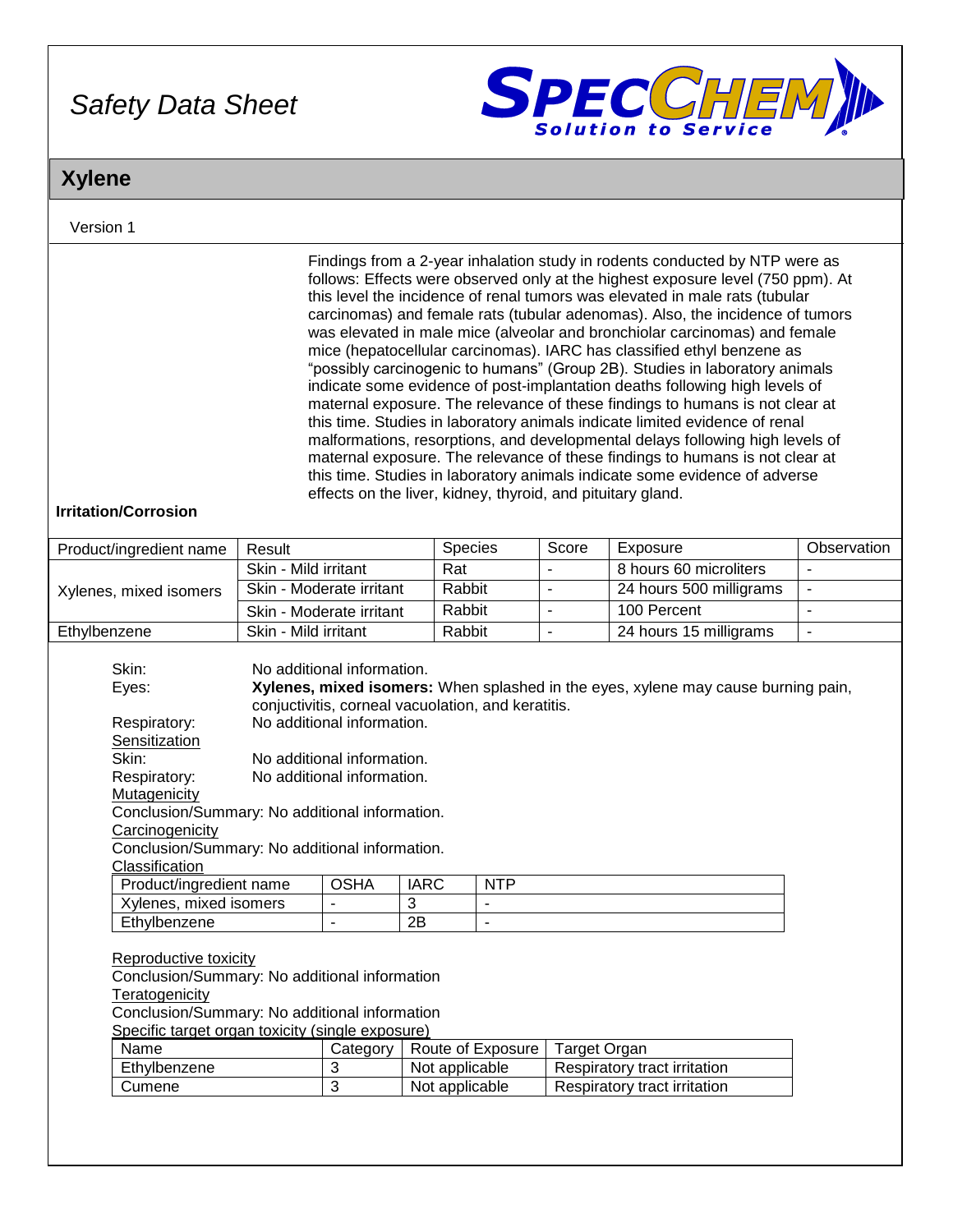

# **Xylene**

### Version 1

| <b>Irritation/Corrosion</b>                                                                                                                                                                                                            |                                                                                                                                                                                                                                                                                                                                                |                          |                                  |                          |                          | Findings from a 2-year inhalation study in rodents conducted by NTP were as<br>follows: Effects were observed only at the highest exposure level (750 ppm). At<br>this level the incidence of renal tumors was elevated in male rats (tubular<br>carcinomas) and female rats (tubular adenomas). Also, the incidence of tumors<br>was elevated in male mice (alveolar and bronchiolar carcinomas) and female<br>mice (hepatocellular carcinomas). IARC has classified ethyl benzene as<br>"possibly carcinogenic to humans" (Group 2B). Studies in laboratory animals<br>indicate some evidence of post-implantation deaths following high levels of<br>maternal exposure. The relevance of these findings to humans is not clear at<br>this time. Studies in laboratory animals indicate limited evidence of renal<br>malformations, resorptions, and developmental delays following high levels of<br>maternal exposure. The relevance of these findings to humans is not clear at<br>this time. Studies in laboratory animals indicate some evidence of adverse<br>effects on the liver, kidney, thyroid, and pituitary gland. |                |
|----------------------------------------------------------------------------------------------------------------------------------------------------------------------------------------------------------------------------------------|------------------------------------------------------------------------------------------------------------------------------------------------------------------------------------------------------------------------------------------------------------------------------------------------------------------------------------------------|--------------------------|----------------------------------|--------------------------|--------------------------|-----------------------------------------------------------------------------------------------------------------------------------------------------------------------------------------------------------------------------------------------------------------------------------------------------------------------------------------------------------------------------------------------------------------------------------------------------------------------------------------------------------------------------------------------------------------------------------------------------------------------------------------------------------------------------------------------------------------------------------------------------------------------------------------------------------------------------------------------------------------------------------------------------------------------------------------------------------------------------------------------------------------------------------------------------------------------------------------------------------------------------------|----------------|
| Product/ingredient name                                                                                                                                                                                                                | Result                                                                                                                                                                                                                                                                                                                                         |                          | Species                          |                          | Score                    | Exposure                                                                                                                                                                                                                                                                                                                                                                                                                                                                                                                                                                                                                                                                                                                                                                                                                                                                                                                                                                                                                                                                                                                          | Observation    |
|                                                                                                                                                                                                                                        | Skin - Mild irritant                                                                                                                                                                                                                                                                                                                           |                          | Rat                              |                          | $\overline{\phantom{a}}$ | 8 hours 60 microliters                                                                                                                                                                                                                                                                                                                                                                                                                                                                                                                                                                                                                                                                                                                                                                                                                                                                                                                                                                                                                                                                                                            | $\blacksquare$ |
| Xylenes, mixed isomers                                                                                                                                                                                                                 | Skin - Moderate irritant                                                                                                                                                                                                                                                                                                                       |                          | Rabbit                           |                          | $\blacksquare$           | 24 hours 500 milligrams                                                                                                                                                                                                                                                                                                                                                                                                                                                                                                                                                                                                                                                                                                                                                                                                                                                                                                                                                                                                                                                                                                           | $\blacksquare$ |
|                                                                                                                                                                                                                                        | Skin - Moderate irritant                                                                                                                                                                                                                                                                                                                       |                          | Rabbit                           |                          | $\overline{\phantom{a}}$ | 100 Percent                                                                                                                                                                                                                                                                                                                                                                                                                                                                                                                                                                                                                                                                                                                                                                                                                                                                                                                                                                                                                                                                                                                       | L.             |
| Ethylbenzene                                                                                                                                                                                                                           | Skin - Mild irritant                                                                                                                                                                                                                                                                                                                           |                          | Rabbit                           |                          | $\blacksquare$           | 24 hours 15 milligrams                                                                                                                                                                                                                                                                                                                                                                                                                                                                                                                                                                                                                                                                                                                                                                                                                                                                                                                                                                                                                                                                                                            | $\blacksquare$ |
| Respiratory:<br>Sensitization<br>Skin:<br>Respiratory:<br>Mutagenicity<br>Carcinogenicity                                                                                                                                              | Eyes:<br>Xylenes, mixed isomers: When splashed in the eyes, xylene may cause burning pain,<br>conjuctivitis, corneal vacuolation, and keratitis.<br>No additional information.<br>No additional information.<br>No additional information.<br>Conclusion/Summary: No additional information.<br>Conclusion/Summary: No additional information. |                          |                                  |                          |                          |                                                                                                                                                                                                                                                                                                                                                                                                                                                                                                                                                                                                                                                                                                                                                                                                                                                                                                                                                                                                                                                                                                                                   |                |
| Classification<br>Product/ingredient name                                                                                                                                                                                              |                                                                                                                                                                                                                                                                                                                                                | <b>OSHA</b>              | <b>IARC</b>                      | <b>NTP</b>               |                          |                                                                                                                                                                                                                                                                                                                                                                                                                                                                                                                                                                                                                                                                                                                                                                                                                                                                                                                                                                                                                                                                                                                                   |                |
| Xylenes, mixed isomers                                                                                                                                                                                                                 |                                                                                                                                                                                                                                                                                                                                                | $\overline{\phantom{a}}$ | 3                                | $\overline{\phantom{a}}$ |                          |                                                                                                                                                                                                                                                                                                                                                                                                                                                                                                                                                                                                                                                                                                                                                                                                                                                                                                                                                                                                                                                                                                                                   |                |
| Ethylbenzene                                                                                                                                                                                                                           |                                                                                                                                                                                                                                                                                                                                                | $\overline{\phantom{a}}$ | 2B                               | $\overline{\phantom{a}}$ |                          |                                                                                                                                                                                                                                                                                                                                                                                                                                                                                                                                                                                                                                                                                                                                                                                                                                                                                                                                                                                                                                                                                                                                   |                |
| Reproductive toxicity<br>Conclusion/Summary: No additional information<br><b>Teratogenicity</b><br>Conclusion/Summary: No additional information<br>Specific target organ toxicity (single exposure)<br>Name<br>Ethylbenzene<br>Cumene |                                                                                                                                                                                                                                                                                                                                                | Category<br>3<br>3       | Not applicable<br>Not applicable | Route of Exposure        | <b>Target Organ</b>      | Respiratory tract irritation<br>Respiratory tract irritation                                                                                                                                                                                                                                                                                                                                                                                                                                                                                                                                                                                                                                                                                                                                                                                                                                                                                                                                                                                                                                                                      |                |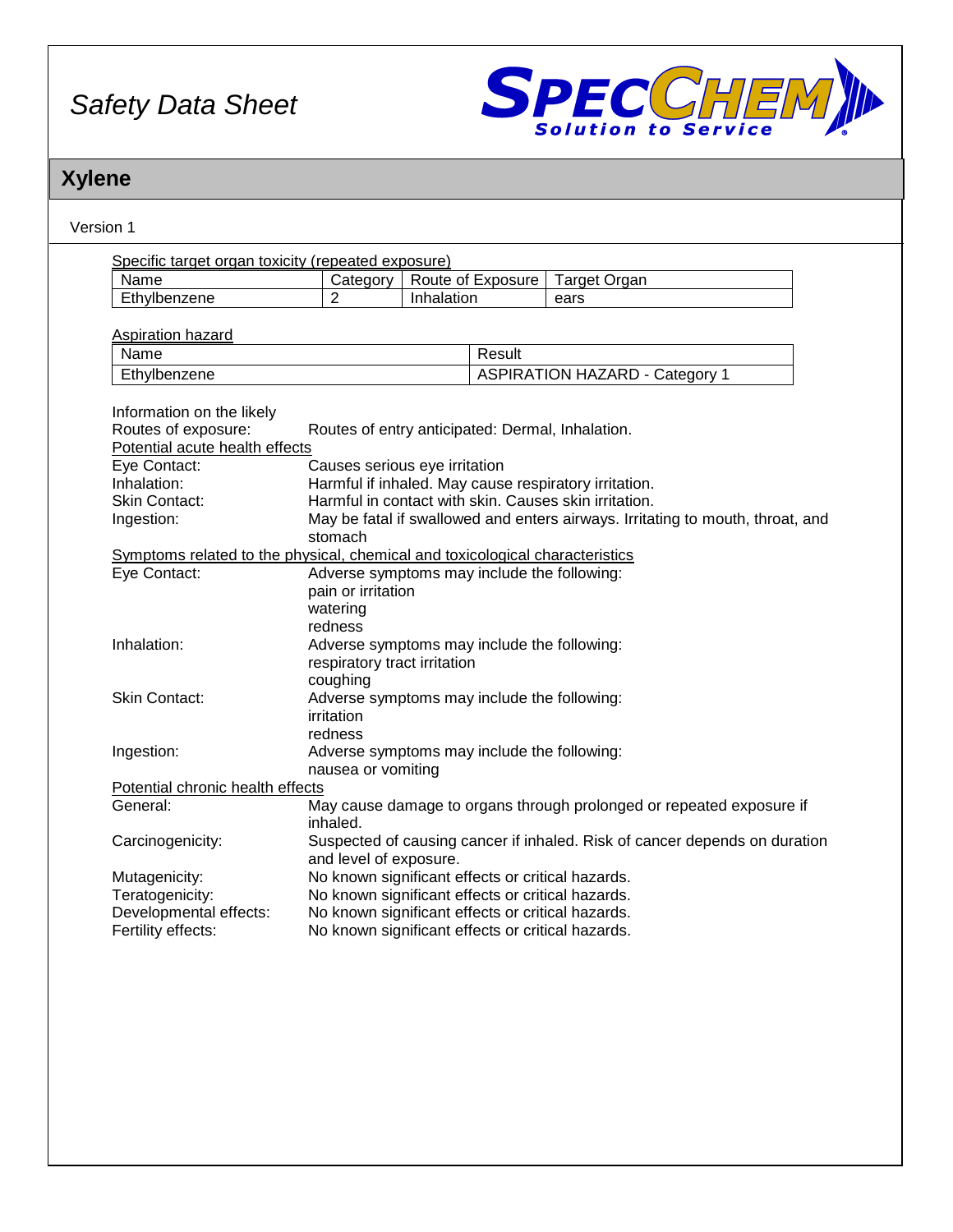

# **Xylene**

| Version 1                                                                    |                                                                                                        |            |                   |                                                                                |  |
|------------------------------------------------------------------------------|--------------------------------------------------------------------------------------------------------|------------|-------------------|--------------------------------------------------------------------------------|--|
| Specific target organ toxicity (repeated exposure)                           |                                                                                                        |            |                   |                                                                                |  |
| Name                                                                         | Category                                                                                               |            | Route of Exposure | <b>Target Organ</b>                                                            |  |
| Ethylbenzene                                                                 | $\overline{2}$                                                                                         | Inhalation |                   | ears                                                                           |  |
|                                                                              |                                                                                                        |            |                   |                                                                                |  |
| Aspiration hazard                                                            |                                                                                                        |            |                   |                                                                                |  |
| Name                                                                         |                                                                                                        |            | Result            |                                                                                |  |
| Ethylbenzene                                                                 |                                                                                                        |            |                   | <b>ASPIRATION HAZARD - Category 1</b>                                          |  |
| Information on the likely                                                    |                                                                                                        |            |                   |                                                                                |  |
| Routes of exposure:                                                          | Routes of entry anticipated: Dermal, Inhalation.                                                       |            |                   |                                                                                |  |
| Potential acute health effects                                               |                                                                                                        |            |                   |                                                                                |  |
| Eye Contact:                                                                 | Causes serious eye irritation                                                                          |            |                   |                                                                                |  |
| Inhalation:                                                                  |                                                                                                        |            |                   | Harmful if inhaled. May cause respiratory irritation.                          |  |
| <b>Skin Contact:</b>                                                         |                                                                                                        |            |                   | Harmful in contact with skin. Causes skin irritation.                          |  |
| Ingestion:                                                                   |                                                                                                        |            |                   | May be fatal if swallowed and enters airways. Irritating to mouth, throat, and |  |
|                                                                              | stomach                                                                                                |            |                   |                                                                                |  |
| Symptoms related to the physical, chemical and toxicological characteristics |                                                                                                        |            |                   |                                                                                |  |
| Eye Contact:                                                                 | Adverse symptoms may include the following:                                                            |            |                   |                                                                                |  |
|                                                                              | pain or irritation                                                                                     |            |                   |                                                                                |  |
|                                                                              | watering                                                                                               |            |                   |                                                                                |  |
|                                                                              | redness                                                                                                |            |                   |                                                                                |  |
| Inhalation:                                                                  | Adverse symptoms may include the following:                                                            |            |                   |                                                                                |  |
|                                                                              | respiratory tract irritation                                                                           |            |                   |                                                                                |  |
|                                                                              | coughing                                                                                               |            |                   |                                                                                |  |
| <b>Skin Contact:</b>                                                         | Adverse symptoms may include the following:                                                            |            |                   |                                                                                |  |
|                                                                              | irritation                                                                                             |            |                   |                                                                                |  |
|                                                                              | redness                                                                                                |            |                   |                                                                                |  |
| Ingestion:                                                                   | Adverse symptoms may include the following:                                                            |            |                   |                                                                                |  |
|                                                                              | nausea or vomiting                                                                                     |            |                   |                                                                                |  |
| Potential chronic health effects                                             |                                                                                                        |            |                   |                                                                                |  |
| General:                                                                     |                                                                                                        |            |                   | May cause damage to organs through prolonged or repeated exposure if           |  |
|                                                                              | inhaled.                                                                                               |            |                   |                                                                                |  |
| Carcinogenicity:                                                             |                                                                                                        |            |                   | Suspected of causing cancer if inhaled. Risk of cancer depends on duration     |  |
|                                                                              | and level of exposure.                                                                                 |            |                   |                                                                                |  |
|                                                                              |                                                                                                        |            |                   |                                                                                |  |
| Mutagenicity:                                                                | No known significant effects or critical hazards.                                                      |            |                   |                                                                                |  |
| Teratogenicity:                                                              | No known significant effects or critical hazards.                                                      |            |                   |                                                                                |  |
| Developmental effects:<br>Fertility effects:                                 | No known significant effects or critical hazards.<br>No known significant effects or critical hazards. |            |                   |                                                                                |  |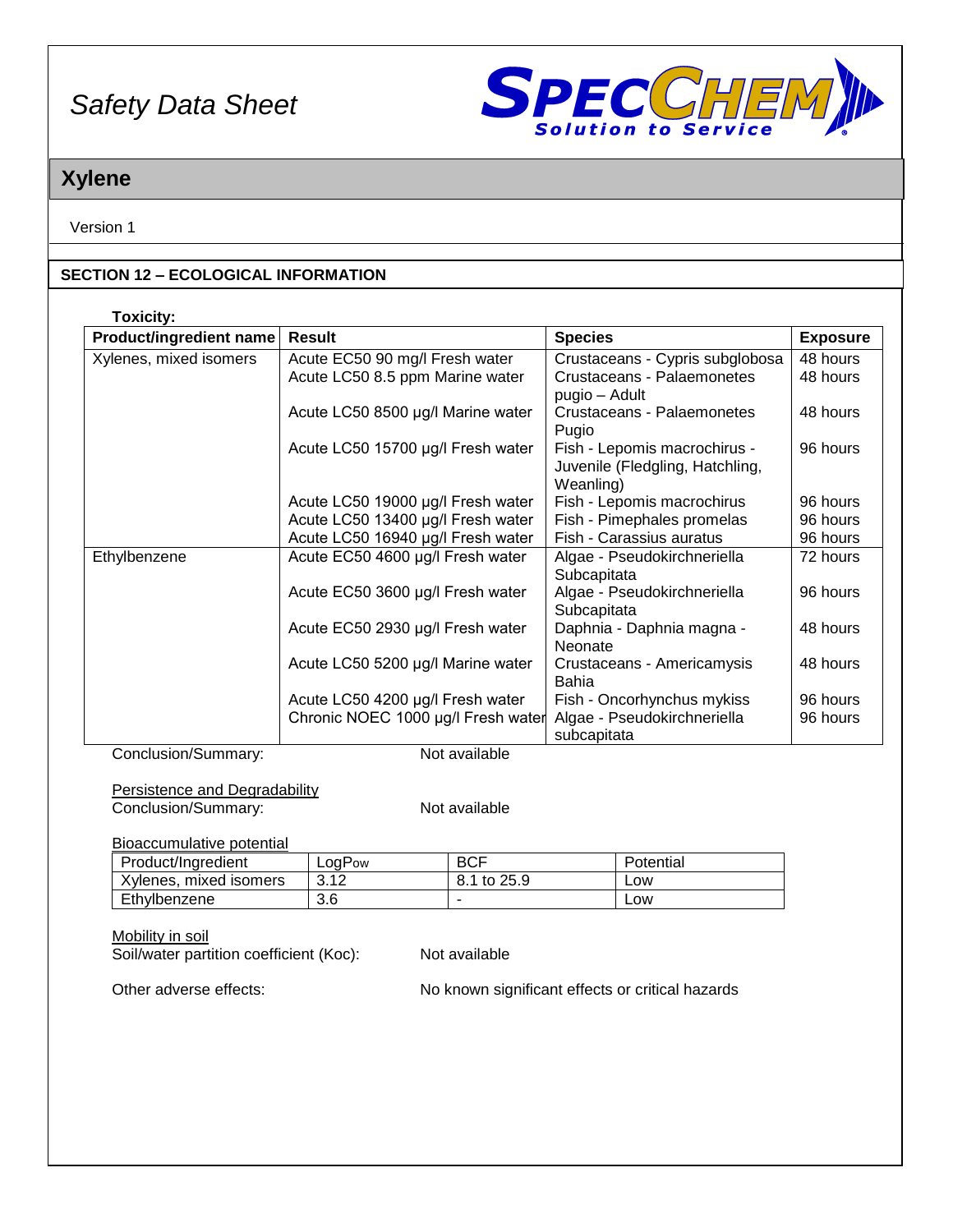

## **Xylene**

Version 1

### **SECTION 12 – ECOLOGICAL INFORMATION**

| <b>Toxicity:</b>        |                                    |                                                                              |                 |
|-------------------------|------------------------------------|------------------------------------------------------------------------------|-----------------|
| Product/ingredient name | Result                             | <b>Species</b>                                                               | <b>Exposure</b> |
| Xylenes, mixed isomers  | Acute EC50 90 mg/l Fresh water     | Crustaceans - Cypris subglobosa                                              | 48 hours        |
|                         | Acute LC50 8.5 ppm Marine water    | Crustaceans - Palaemonetes<br>pugio – Adult                                  | 48 hours        |
|                         | Acute LC50 8500 µg/l Marine water  | Crustaceans - Palaemonetes<br>Pugio                                          | 48 hours        |
|                         | Acute LC50 15700 µg/l Fresh water  | Fish - Lepomis macrochirus -<br>Juvenile (Fledgling, Hatchling,<br>Weanling) | 96 hours        |
|                         | Acute LC50 19000 µg/l Fresh water  | Fish - Lepomis macrochirus                                                   | 96 hours        |
|                         | Acute LC50 13400 µg/l Fresh water  | Fish - Pimephales promelas                                                   | 96 hours        |
|                         | Acute LC50 16940 µg/l Fresh water  | Fish - Carassius auratus                                                     | 96 hours        |
| Ethylbenzene            | Acute EC50 4600 µg/l Fresh water   | Algae - Pseudokirchneriella<br>Subcapitata                                   | 72 hours        |
|                         | Acute EC50 3600 µg/l Fresh water   | Algae - Pseudokirchneriella<br>Subcapitata                                   | 96 hours        |
|                         | Acute EC50 2930 µg/l Fresh water   | Daphnia - Daphnia magna -<br><b>Neonate</b>                                  | 48 hours        |
|                         | Acute LC50 5200 µg/l Marine water  | Crustaceans - Americamysis<br>Bahia                                          | 48 hours        |
|                         | Acute LC50 4200 µg/l Fresh water   | Fish - Oncorhynchus mykiss                                                   | 96 hours        |
|                         | Chronic NOEC 1000 µg/l Fresh water | Algae - Pseudokirchneriella<br>subcapitata                                   | 96 hours        |

Conclusion/Summary: Not available

Persistence and Degradability

**Conclusion/Summary:** Not available

Bioaccumulative potential

| Product/Ingredient     | ∟oqPow | <b>BCF</b>  | Potential |
|------------------------|--------|-------------|-----------|
| Xylenes, mixed isomers | 3.12   | 8.1 to 25.9 | ∟ow       |
| l Ethvlbenzene         | 3.6    |             | ∟OW       |

Mobility in soil

Soil/water partition coefficient (Koc): Not available

Other adverse effects: No known significant effects or critical hazards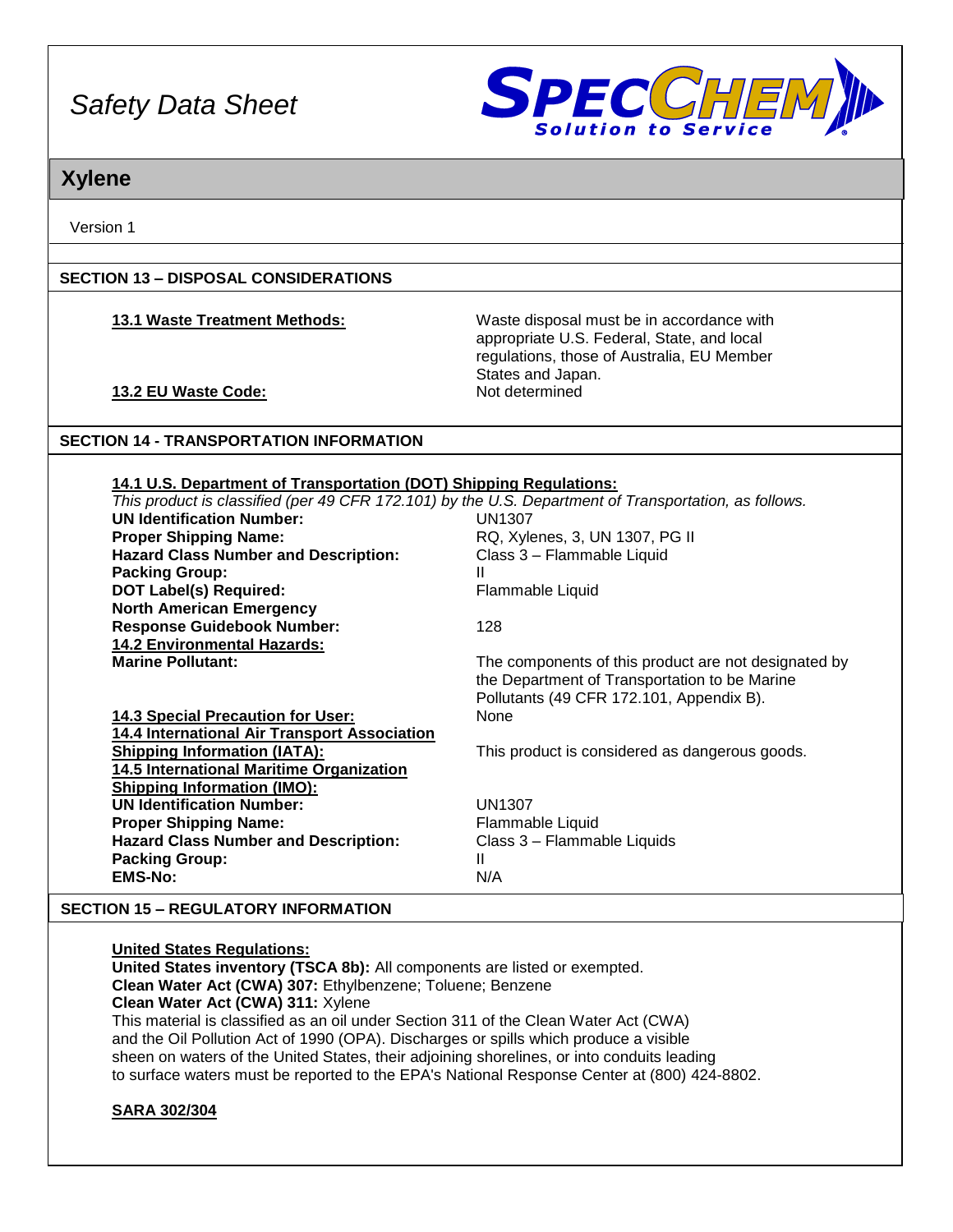

## **Xylene**

Version 1

### **SECTION 13 – DISPOSAL CONSIDERATIONS**

**13.1 Waste Treatment Methods:** Waste disposal must be in accordance with appropriate U.S. Federal, State, and local regulations, those of Australia, EU Member States and Japan.

## **13.2 EU Waste Code:** Not determined

### **SECTION 14 - TRANSPORTATION INFORMATION**

#### **14.1 U.S. Department of Transportation (DOT) Shipping Regulations:**

|                                              | This product is classified (per 49 CFR 172.101) by the U.S. Department of Transportation, as follows. |
|----------------------------------------------|-------------------------------------------------------------------------------------------------------|
| <b>UN Identification Number:</b>             | <b>UN1307</b>                                                                                         |
| <b>Proper Shipping Name:</b>                 | RQ, Xylenes, 3, UN 1307, PG II                                                                        |
| <b>Hazard Class Number and Description:</b>  | Class 3 - Flammable Liquid                                                                            |
| <b>Packing Group:</b>                        | Ш                                                                                                     |
| <b>DOT Label(s) Required:</b>                | Flammable Liquid                                                                                      |
| <b>North American Emergency</b>              |                                                                                                       |
| <b>Response Guidebook Number:</b>            | 128                                                                                                   |
| <b>14.2 Environmental Hazards:</b>           |                                                                                                       |
| <b>Marine Pollutant:</b>                     | The components of this product are not designated by                                                  |
|                                              | the Department of Transportation to be Marine                                                         |
|                                              | Pollutants (49 CFR 172.101, Appendix B).                                                              |
| 14.3 Special Precaution for User:            | None                                                                                                  |
| 14.4 International Air Transport Association |                                                                                                       |
| <b>Shipping Information (IATA):</b>          | This product is considered as dangerous goods.                                                        |
| 14.5 International Maritime Organization     |                                                                                                       |
| <b>Shipping Information (IMO):</b>           |                                                                                                       |
| <b>UN Identification Number:</b>             | <b>UN1307</b>                                                                                         |
| <b>Proper Shipping Name:</b>                 | Flammable Liquid                                                                                      |
| <b>Hazard Class Number and Description:</b>  | Class 3 - Flammable Liquids                                                                           |
| <b>Packing Group:</b>                        | Ш                                                                                                     |
| <b>EMS-No:</b>                               | N/A                                                                                                   |
|                                              |                                                                                                       |

### **SECTION 15 – REGULATORY INFORMATION**

#### **United States Regulations:**

**United States inventory (TSCA 8b):** All components are listed or exempted. **Clean Water Act (CWA) 307:** Ethylbenzene; Toluene; Benzene **Clean Water Act (CWA) 311:** Xylene This material is classified as an oil under Section 311 of the Clean Water Act (CWA) and the Oil Pollution Act of 1990 (OPA). Discharges or spills which produce a visible sheen on waters of the United States, their adjoining shorelines, or into conduits leading to surface waters must be reported to the EPA's National Response Center at (800) 424-8802.

### **SARA 302/304**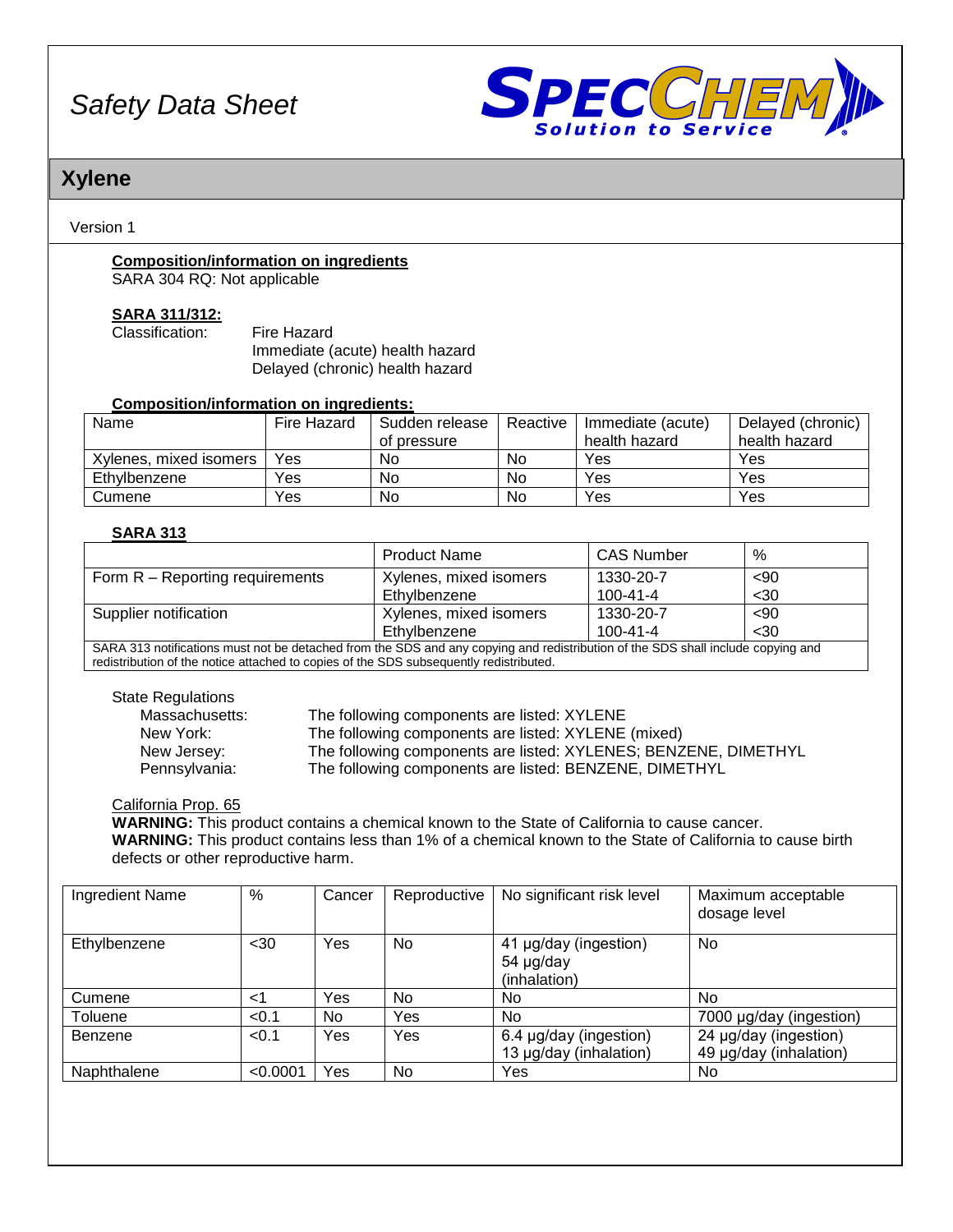

## **Xylene**

Version 1

# **Composition/information on ingredients**

SARA 304 RQ: Not applicable

#### **SARA 311/312:**

| Classification: | Fire Hazard                     |
|-----------------|---------------------------------|
|                 | Immediate (acute) health hazard |
|                 | Delayed (chronic) health hazard |

#### **Composition/information on ingredients:**

| Name                   | Fire Hazard | Sudden release | Reactive | Immediate (acute) | Delayed (chronic) |
|------------------------|-------------|----------------|----------|-------------------|-------------------|
|                        |             | of pressure    |          | health hazard     | health hazard     |
| Xylenes, mixed isomers | Yes         | No             | No       | Yes               | Yes               |
| Ethvlbenzene           | Yes         | No             | No       | Yes               | Yes               |
| Cumene                 | Yes         | No             | No       | Yes               | Yes               |

### **SARA 313**

|                                                                                                                                 | <b>Product Name</b>    | <b>CAS Number</b> | %    |  |
|---------------------------------------------------------------------------------------------------------------------------------|------------------------|-------------------|------|--|
| Form R – Reporting requirements                                                                                                 | Xylenes, mixed isomers | 1330-20-7         | $90$ |  |
|                                                                                                                                 | Ethylbenzene           | $100 - 41 - 4$    | $30$ |  |
| Supplier notification                                                                                                           | Xylenes, mixed isomers | 1330-20-7         | $90$ |  |
|                                                                                                                                 | Ethylbenzene           | $100 - 41 - 4$    | $30$ |  |
| CADA 242 notifications must not be detected from the CDC and any conving and redistribution of the CDC aboll include convingent |                        |                   |      |  |

SARA 313 notifications must not be detached from the SDS and any copying and redistribution of the SDS shall include copying and redistribution of the notice attached to copies of the SDS subsequently redistributed.

State Regulations

Massachusetts: The following components are listed: XYLENE New York: The following components are listed: XYLENE (mixed) New Jersey: The following components are listed: XYLENES; BENZENE, DIMETHYL<br>Pennsylvania: The following components are listed: BENZENE, DIMETHYL The following components are listed: BENZENE, DIMETHYL

California Prop. 65

**WARNING:** This product contains a chemical known to the State of California to cause cancer. **WARNING:** This product contains less than 1% of a chemical known to the State of California to cause birth defects or other reproductive harm.

| Ingredient Name | %        | Cancer | Reproductive | No significant risk level                          | Maximum acceptable<br>dosage level              |
|-----------------|----------|--------|--------------|----------------------------------------------------|-------------------------------------------------|
| Ethylbenzene    | $30$     | Yes    | No           | 41 µg/day (ingestion)<br>54 µg/day<br>(inhalation) | No                                              |
| Cumene          | ا>       | Yes    | No           | No.                                                | No.                                             |
| Toluene         | < 0.1    | No.    | Yes          | No                                                 | 7000 µg/day (ingestion)                         |
| Benzene         | < 0.1    | Yes    | Yes          | 6.4 µg/day (ingestion)<br>13 µg/day (inhalation)   | 24 µg/day (ingestion)<br>49 µg/day (inhalation) |
| Naphthalene     | < 0.0001 | Yes    | <b>No</b>    | Yes                                                | No                                              |